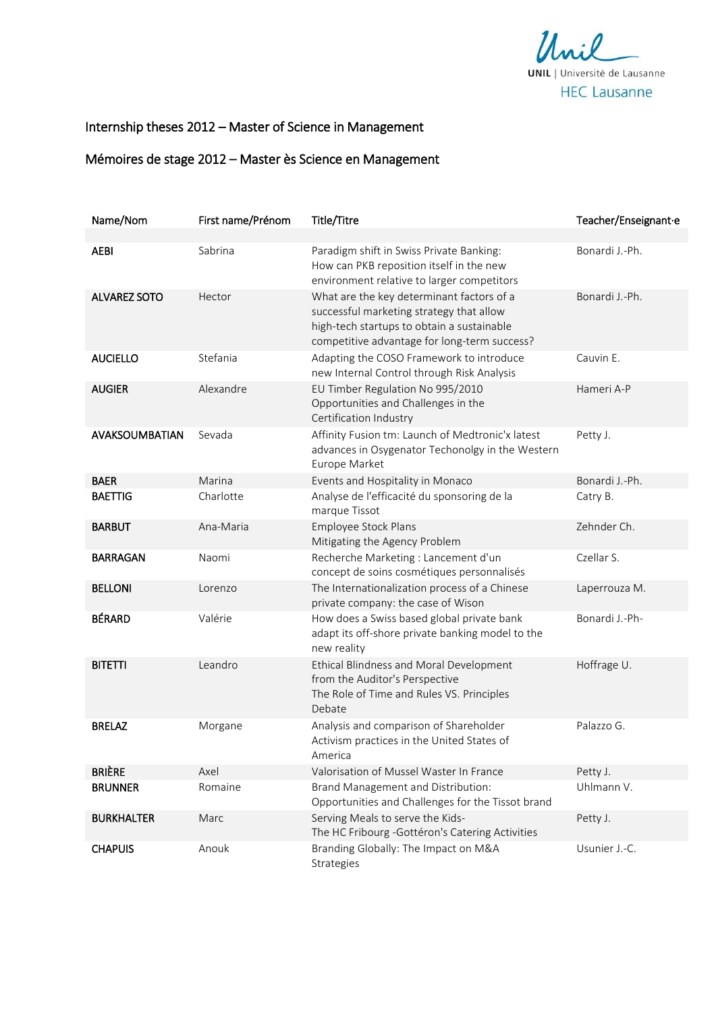

## Internship theses 2012 - Master of Science in Management

## Mémoires de stage 2012 - Master ès Science en Management

| Name/Nom            | First name/Prénom | Title/Titre                                                                                                                                                                         | Teacher/Enseignant-e |
|---------------------|-------------------|-------------------------------------------------------------------------------------------------------------------------------------------------------------------------------------|----------------------|
|                     |                   |                                                                                                                                                                                     |                      |
| <b>AEBI</b>         | Sabrina           | Paradigm shift in Swiss Private Banking:<br>How can PKB reposition itself in the new<br>environment relative to larger competitors                                                  | Bonardi J.-Ph.       |
| <b>ALVAREZ SOTO</b> | Hector            | What are the key determinant factors of a<br>successful marketing strategy that allow<br>high-tech startups to obtain a sustainable<br>competitive advantage for long-term success? | Bonardi J.-Ph.       |
| <b>AUCIELLO</b>     | Stefania          | Adapting the COSO Framework to introduce<br>new Internal Control through Risk Analysis                                                                                              | Cauvin E.            |
| <b>AUGIER</b>       | Alexandre         | EU Timber Regulation No 995/2010<br>Opportunities and Challenges in the<br>Certification Industry                                                                                   | Hameri A-P           |
| AVAKSOUMBATIAN      | Sevada            | Affinity Fusion tm: Launch of Medtronic'x latest<br>advances in Osygenator Techonolgy in the Western<br>Europe Market                                                               | Petty J.             |
| <b>BAER</b>         | Marina            | Events and Hospitality in Monaco                                                                                                                                                    | Bonardi J.-Ph.       |
| <b>BAETTIG</b>      | Charlotte         | Analyse de l'efficacité du sponsoring de la<br>marque Tissot                                                                                                                        | Catry B.             |
| <b>BARBUT</b>       | Ana-Maria         | Employee Stock Plans<br>Mitigating the Agency Problem                                                                                                                               | Zehnder Ch.          |
| <b>BARRAGAN</b>     | Naomi             | Recherche Marketing : Lancement d'un<br>concept de soins cosmétiques personnalisés                                                                                                  | Czellar S.           |
| <b>BELLONI</b>      | Lorenzo           | The Internationalization process of a Chinese<br>private company: the case of Wison                                                                                                 | Laperrouza M.        |
| <b>BÉRARD</b>       | Valérie           | How does a Swiss based global private bank<br>adapt its off-shore private banking model to the<br>new reality                                                                       | Bonardi J.-Ph-       |
| <b>BITETTI</b>      | Leandro           | Ethical Blindness and Moral Development<br>from the Auditor's Perspective<br>The Role of Time and Rules VS. Principles<br>Debate                                                    | Hoffrage U.          |
| <b>BRELAZ</b>       | Morgane           | Analysis and comparison of Shareholder<br>Activism practices in the United States of<br>America                                                                                     | Palazzo G.           |
| <b>BRIÈRE</b>       | Axel              | Valorisation of Mussel Waster In France                                                                                                                                             | Petty J.             |
| <b>BRUNNER</b>      | Romaine           | Brand Management and Distribution:<br>Opportunities and Challenges for the Tissot brand                                                                                             | Uhlmann V.           |
| <b>BURKHALTER</b>   | Marc              | Serving Meals to serve the Kids-<br>The HC Fribourg - Gottéron's Catering Activities                                                                                                | Petty J.             |
| <b>CHAPUIS</b>      | Anouk             | Branding Globally: The Impact on M&A<br><b>Strategies</b>                                                                                                                           | Usunier J.-C.        |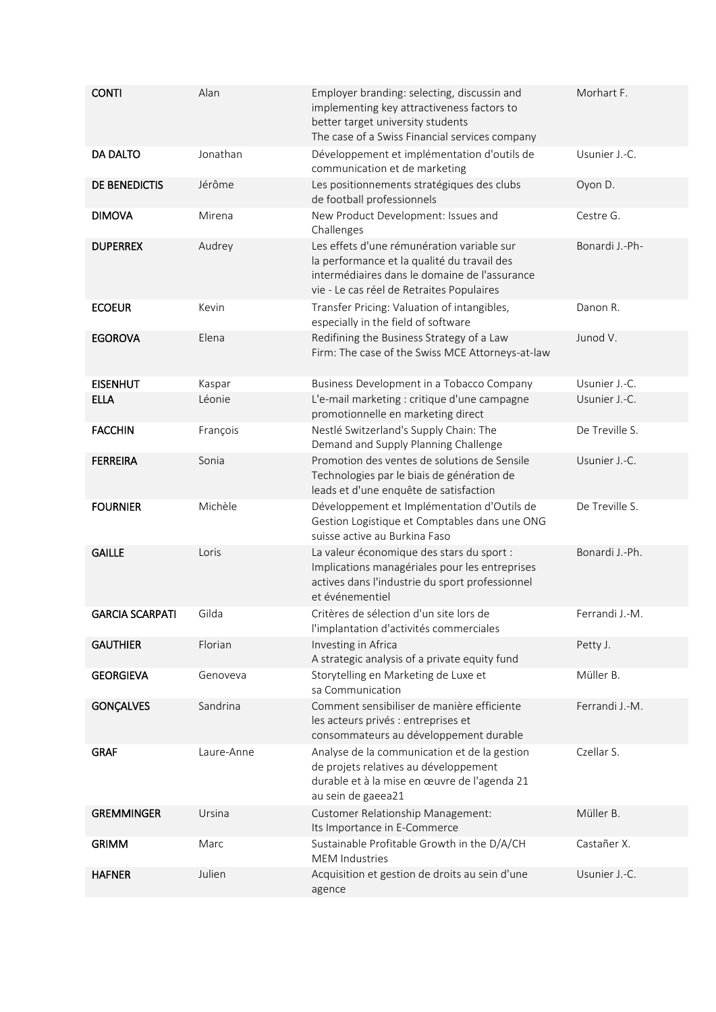| <b>CONTI</b>           | Alan       | Employer branding: selecting, discussin and<br>implementing key attractiveness factors to<br>better target university students<br>The case of a Swiss Financial services company        | Morhart F.     |
|------------------------|------------|-----------------------------------------------------------------------------------------------------------------------------------------------------------------------------------------|----------------|
| <b>DA DALTO</b>        | Jonathan   | Développement et implémentation d'outils de<br>communication et de marketing                                                                                                            | Usunier J.-C.  |
| DE BENEDICTIS          | Jérôme     | Les positionnements stratégiques des clubs<br>de football professionnels                                                                                                                | Oyon D.        |
| <b>DIMOVA</b>          | Mirena     | New Product Development: Issues and<br>Challenges                                                                                                                                       | Cestre G.      |
| <b>DUPERREX</b>        | Audrey     | Les effets d'une rémunération variable sur<br>la performance et la qualité du travail des<br>intermédiaires dans le domaine de l'assurance<br>vie - Le cas réel de Retraites Populaires | Bonardi J.-Ph- |
| <b>ECOEUR</b>          | Kevin      | Transfer Pricing: Valuation of intangibles,<br>especially in the field of software                                                                                                      | Danon R.       |
| <b>EGOROVA</b>         | Elena      | Redifining the Business Strategy of a Law<br>Firm: The case of the Swiss MCE Attorneys-at-law                                                                                           | Junod V.       |
| <b>EISENHUT</b>        | Kaspar     | Business Development in a Tobacco Company                                                                                                                                               | Usunier J.-C.  |
| <b>ELLA</b>            | Léonie     | L'e-mail marketing : critique d'une campagne<br>promotionnelle en marketing direct                                                                                                      | Usunier J.-C.  |
| <b>FACCHIN</b>         | François   | Nestlé Switzerland's Supply Chain: The<br>Demand and Supply Planning Challenge                                                                                                          | De Treville S. |
| <b>FERREIRA</b>        | Sonia      | Promotion des ventes de solutions de Sensile<br>Technologies par le biais de génération de<br>leads et d'une enquête de satisfaction                                                    | Usunier J.-C.  |
| <b>FOURNIER</b>        | Michèle    | Développement et Implémentation d'Outils de<br>Gestion Logistique et Comptables dans une ONG<br>suisse active au Burkina Faso                                                           | De Treville S. |
| <b>GAILLE</b>          | Loris      | La valeur économique des stars du sport :<br>Implications managériales pour les entreprises<br>actives dans l'industrie du sport professionnel<br>et événementiel                       | Bonardi J.-Ph. |
| <b>GARCIA SCARPATI</b> | Gilda      | Critères de sélection d'un site lors de<br>l'implantation d'activités commerciales                                                                                                      | Ferrandi J.-M. |
| <b>GAUTHIER</b>        | Florian    | Investing in Africa<br>A strategic analysis of a private equity fund                                                                                                                    | Petty J.       |
| <b>GEORGIEVA</b>       | Genoveva   | Storytelling en Marketing de Luxe et<br>sa Communication                                                                                                                                | Müller B.      |
| <b>GONÇALVES</b>       | Sandrina   | Comment sensibiliser de manière efficiente<br>les acteurs privés : entreprises et<br>consommateurs au développement durable                                                             | Ferrandi J.-M. |
| <b>GRAF</b>            | Laure-Anne | Analyse de la communication et de la gestion<br>de projets relatives au développement<br>durable et à la mise en œuvre de l'agenda 21<br>au sein de gaeea21                             | Czellar S.     |
| <b>GREMMINGER</b>      | Ursina     | Customer Relationship Management:<br>Its Importance in E-Commerce                                                                                                                       | Müller B.      |
| <b>GRIMM</b>           | Marc       | Sustainable Profitable Growth in the D/A/CH<br><b>MEM Industries</b>                                                                                                                    | Castañer X.    |
| <b>HAFNER</b>          | Julien     | Acquisition et gestion de droits au sein d'une<br>agence                                                                                                                                | Usunier J.-C.  |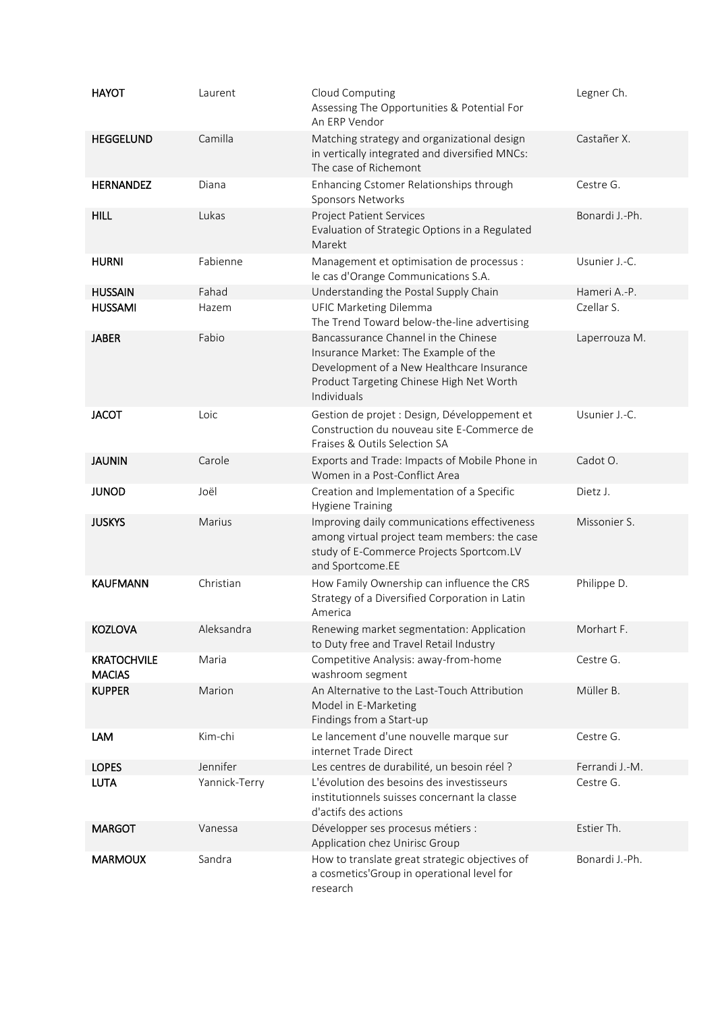| <b>HAYOT</b>                        | Laurent       | Cloud Computing<br>Assessing The Opportunities & Potential For<br>An ERP Vendor                                                                                                      | Legner Ch.     |
|-------------------------------------|---------------|--------------------------------------------------------------------------------------------------------------------------------------------------------------------------------------|----------------|
| <b>HEGGELUND</b>                    | Camilla       | Matching strategy and organizational design<br>in vertically integrated and diversified MNCs:<br>The case of Richemont                                                               | Castañer X.    |
| <b>HERNANDEZ</b>                    | Diana         | Enhancing Cstomer Relationships through<br>Sponsors Networks                                                                                                                         | Cestre G.      |
| <b>HILL</b>                         | Lukas         | <b>Project Patient Services</b><br>Evaluation of Strategic Options in a Regulated<br>Marekt                                                                                          | Bonardi J.-Ph. |
| <b>HURNI</b>                        | Fabienne      | Management et optimisation de processus :<br>le cas d'Orange Communications S.A.                                                                                                     | Usunier J.-C.  |
| <b>HUSSAIN</b>                      | Fahad         | Understanding the Postal Supply Chain                                                                                                                                                | Hameri A.-P.   |
| <b>HUSSAMI</b>                      | Hazem         | <b>UFIC Marketing Dilemma</b><br>The Trend Toward below-the-line advertising                                                                                                         | Czellar S.     |
| <b>JABER</b>                        | Fabio         | Bancassurance Channel in the Chinese<br>Insurance Market: The Example of the<br>Development of a New Healthcare Insurance<br>Product Targeting Chinese High Net Worth<br>Individuals | Laperrouza M.  |
| <b>JACOT</b>                        | Loic          | Gestion de projet : Design, Développement et<br>Construction du nouveau site E-Commerce de<br>Fraises & Outils Selection SA                                                          | Usunier J.-C.  |
| <b>JAUNIN</b>                       | Carole        | Exports and Trade: Impacts of Mobile Phone in<br>Women in a Post-Conflict Area                                                                                                       | Cadot O.       |
| <b>JUNOD</b>                        | Joël          | Creation and Implementation of a Specific<br><b>Hygiene Training</b>                                                                                                                 | Dietz J.       |
| <b>JUSKYS</b>                       | Marius        | Improving daily communications effectiveness<br>among virtual project team members: the case<br>study of E-Commerce Projects Sportcom.LV<br>and Sportcome.EE                         | Missonier S.   |
| <b>KAUFMANN</b>                     | Christian     | How Family Ownership can influence the CRS<br>Strategy of a Diversified Corporation in Latin<br>America                                                                              | Philippe D.    |
| <b>KOZLOVA</b>                      | Aleksandra    | Renewing market segmentation: Application<br>to Duty free and Travel Retail Industry                                                                                                 | Morhart F.     |
| <b>KRATOCHVILE</b><br><b>MACIAS</b> | Maria         | Competitive Analysis: away-from-home<br>washroom segment                                                                                                                             | Cestre G.      |
| <b>KUPPER</b>                       | Marion        | An Alternative to the Last-Touch Attribution<br>Model in E-Marketing<br>Findings from a Start-up                                                                                     | Müller B.      |
| LAM                                 | Kim-chi       | Le lancement d'une nouvelle marque sur<br>internet Trade Direct                                                                                                                      | Cestre G.      |
| <b>LOPES</b>                        | Jennifer      | Les centres de durabilité, un besoin réel ?                                                                                                                                          | Ferrandi J.-M. |
| <b>LUTA</b>                         | Yannick-Terry | L'évolution des besoins des investisseurs<br>institutionnels suisses concernant la classe<br>d'actifs des actions                                                                    | Cestre G.      |
| <b>MARGOT</b>                       | Vanessa       | Développer ses procesus métiers :<br>Application chez Unirisc Group                                                                                                                  | Estier Th.     |
| <b>MARMOUX</b>                      | Sandra        | How to translate great strategic objectives of<br>a cosmetics'Group in operational level for<br>research                                                                             | Bonardi J.-Ph. |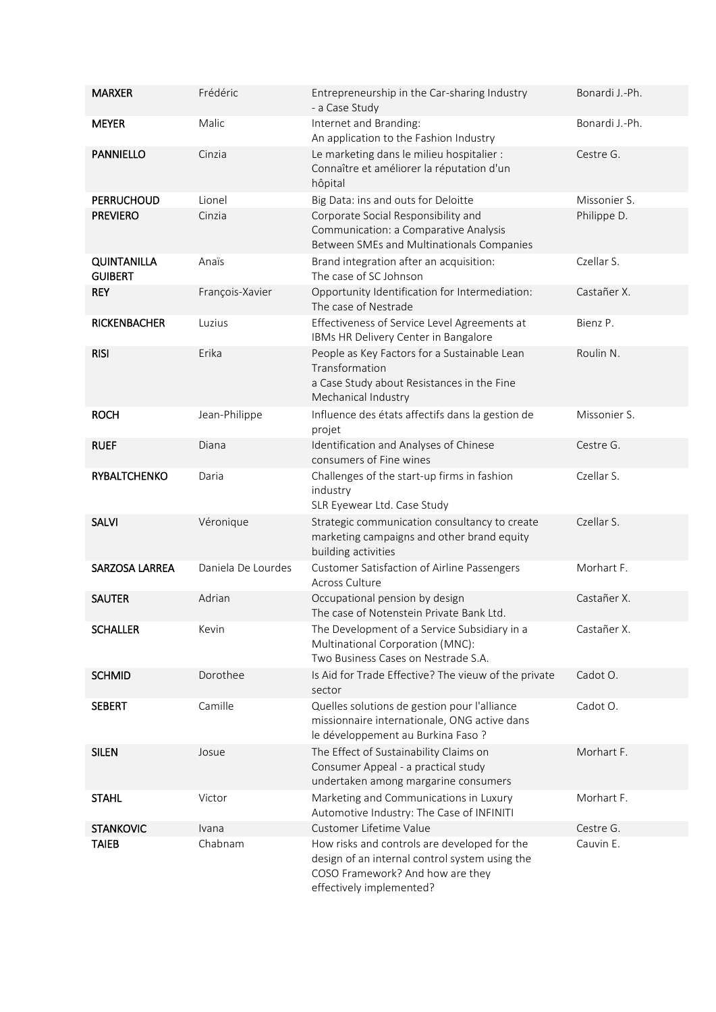| <b>MARXER</b>                        | Frédéric           | Entrepreneurship in the Car-sharing Industry<br>- a Case Study                                                                                                 | Bonardi J.-Ph. |
|--------------------------------------|--------------------|----------------------------------------------------------------------------------------------------------------------------------------------------------------|----------------|
| <b>MEYER</b>                         | Malic              | Internet and Branding:<br>An application to the Fashion Industry                                                                                               | Bonardi J.-Ph. |
| <b>PANNIELLO</b>                     | Cinzia             | Le marketing dans le milieu hospitalier :<br>Connaître et améliorer la réputation d'un<br>hôpital                                                              | Cestre G.      |
| <b>PERRUCHOUD</b>                    | Lionel             | Big Data: ins and outs for Deloitte                                                                                                                            | Missonier S.   |
| <b>PREVIERO</b>                      | Cinzia             | Corporate Social Responsibility and<br>Communication: a Comparative Analysis<br>Between SMEs and Multinationals Companies                                      | Philippe D.    |
| <b>QUINTANILLA</b><br><b>GUIBERT</b> | Anaïs              | Brand integration after an acquisition:<br>The case of SC Johnson                                                                                              | Czellar S.     |
| <b>REY</b>                           | François-Xavier    | Opportunity Identification for Intermediation:<br>The case of Nestrade                                                                                         | Castañer X.    |
| <b>RICKENBACHER</b>                  | Luzius             | Effectiveness of Service Level Agreements at<br>IBMs HR Delivery Center in Bangalore                                                                           | Bienz P.       |
| <b>RISI</b>                          | Erika              | People as Key Factors for a Sustainable Lean<br>Transformation<br>a Case Study about Resistances in the Fine<br>Mechanical Industry                            | Roulin N.      |
| <b>ROCH</b>                          | Jean-Philippe      | Influence des états affectifs dans la gestion de<br>projet                                                                                                     | Missonier S.   |
| <b>RUEF</b>                          | Diana              | Identification and Analyses of Chinese<br>consumers of Fine wines                                                                                              | Cestre G.      |
| <b>RYBALTCHENKO</b>                  | Daria              | Challenges of the start-up firms in fashion<br>industry<br>SLR Eyewear Ltd. Case Study                                                                         | Czellar S.     |
| <b>SALVI</b>                         | Véronique          | Strategic communication consultancy to create<br>marketing campaigns and other brand equity<br>building activities                                             | Czellar S.     |
| SARZOSA LARREA                       | Daniela De Lourdes | <b>Customer Satisfaction of Airline Passengers</b><br>Across Culture                                                                                           | Morhart F.     |
| <b>SAUTER</b>                        | Adrian             | Occupational pension by design<br>The case of Notenstein Private Bank Ltd.                                                                                     | Castañer X.    |
| <b>SCHALLER</b>                      | Kevin              | The Development of a Service Subsidiary in a<br>Multinational Corporation (MNC):<br>Two Business Cases on Nestrade S.A.                                        | Castañer X.    |
| <b>SCHMID</b>                        | Dorothee           | Is Aid for Trade Effective? The vieuw of the private<br>sector                                                                                                 | Cadot O.       |
| <b>SEBERT</b>                        | Camille            | Quelles solutions de gestion pour l'alliance<br>missionnaire internationale, ONG active dans<br>le développement au Burkina Faso ?                             | Cadot O.       |
| <b>SILEN</b>                         | Josue              | The Effect of Sustainability Claims on<br>Consumer Appeal - a practical study<br>undertaken among margarine consumers                                          | Morhart F.     |
| <b>STAHL</b>                         | Victor             | Marketing and Communications in Luxury<br>Automotive Industry: The Case of INFINITI                                                                            | Morhart F.     |
| <b>STANKOVIC</b>                     | Ivana              | Customer Lifetime Value                                                                                                                                        | Cestre G.      |
| <b>TAIEB</b>                         | Chabnam            | How risks and controls are developed for the<br>design of an internal control system using the<br>COSO Framework? And how are they<br>effectively implemented? | Cauvin E.      |